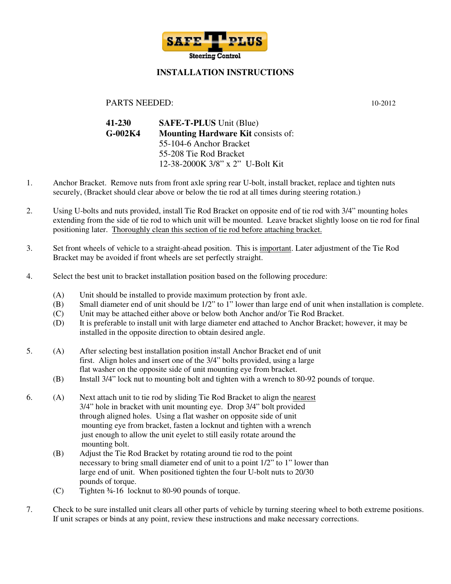

## **INSTALLATION INSTRUCTIONS**

## PARTS NEEDED: 10-2012

| 41-230    | <b>SAFE-T-PLUS</b> Unit (Blue)            |
|-----------|-------------------------------------------|
| $G-002K4$ | <b>Mounting Hardware Kit consists of:</b> |
|           | 55-104-6 Anchor Bracket                   |
|           | 55-208 Tie Rod Bracket                    |
|           | 12-38-2000K 3/8" x 2" U-Bolt Kit          |

- 1. Anchor Bracket. Remove nuts from front axle spring rear U-bolt, install bracket, replace and tighten nuts securely, (Bracket should clear above or below the tie rod at all times during steering rotation.)
- 2. Using U-bolts and nuts provided, install Tie Rod Bracket on opposite end of tie rod with 3/4" mounting holes extending from the side of tie rod to which unit will be mounted. Leave bracket slightly loose on tie rod for final positioning later. Thoroughly clean this section of tie rod before attaching bracket.
- 3. Set front wheels of vehicle to a straight-ahead position. This is important. Later adjustment of the Tie Rod Bracket may be avoided if front wheels are set perfectly straight.
- 4. Select the best unit to bracket installation position based on the following procedure:
	- (A) Unit should be installed to provide maximum protection by front axle.
	- (B) Small diameter end of unit should be 1/2" to 1" lower than large end of unit when installation is complete.
	- (C) Unit may be attached either above or below both Anchor and/or Tie Rod Bracket.
	- (D) It is preferable to install unit with large diameter end attached to Anchor Bracket; however, it may be installed in the opposite direction to obtain desired angle.
- 5. (A) After selecting best installation position install Anchor Bracket end of unit first. Align holes and insert one of the 3/4" bolts provided, using a large flat washer on the opposite side of unit mounting eye from bracket.
	- (B) Install 3/4" lock nut to mounting bolt and tighten with a wrench to 80-92 pounds of torque.
- 6. (A) Next attach unit to tie rod by sliding Tie Rod Bracket to align the nearest 3/4" hole in bracket with unit mounting eye. Drop 3/4" bolt provided through aligned holes. Using a flat washer on opposite side of unit mounting eye from bracket, fasten a locknut and tighten with a wrench just enough to allow the unit eyelet to still easily rotate around the mounting bolt.
	- (B) Adjust the Tie Rod Bracket by rotating around tie rod to the point necessary to bring small diameter end of unit to a point 1/2" to 1" lower than large end of unit. When positioned tighten the four U-bolt nuts to 20/30 pounds of torque.
	- (C) Tighten ¾-16 locknut to 80-90 pounds of torque.
- 7. Check to be sure installed unit clears all other parts of vehicle by turning steering wheel to both extreme positions. If unit scrapes or binds at any point, review these instructions and make necessary corrections.